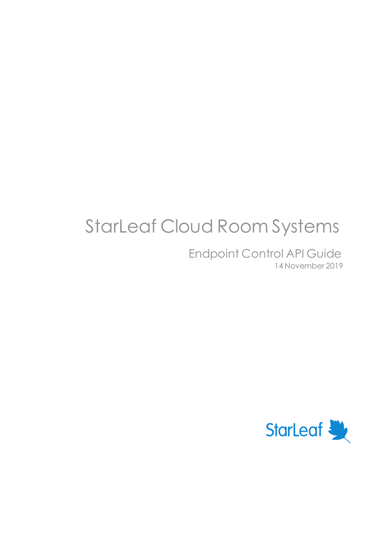# StarLeaf Cloud Room Systems

Endpoint Control API Guide 14 November 2019

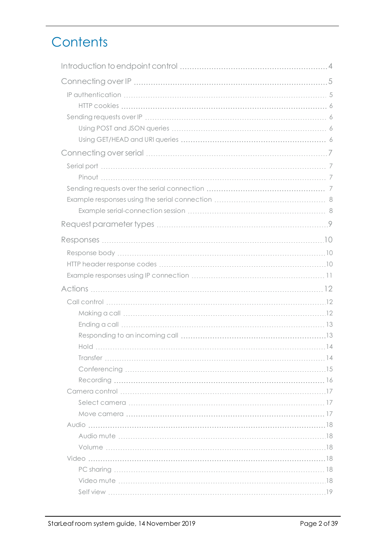# **Contents**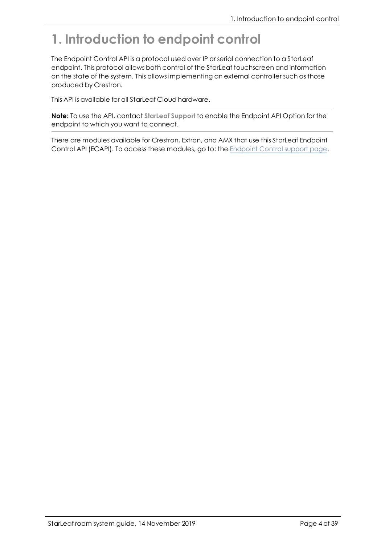# <span id="page-3-0"></span>**1. Introduction to endpoint control**

The Endpoint Control API is a protocol used over IP or serial connection to a StarLeaf endpoint. This protocol allows both control of the StarLeaf touchscreen and information on the state of the system. This allows implementing an external controller such as those produced by Crestron.

This API is available for all StarLeaf Cloud hardware.

**Note:** To use the API, contact **StarLeaf Support** to enable the Endpoint API Option for the endpoint to which you want to connect.

There are modules available for Crestron, Extron, and AMX that use this StarLeaf Endpoint Control API (ECAPI). To access these modules, go to: the [Endpoint](https://support.starleaf.com/product/api/endpoint) Control support page.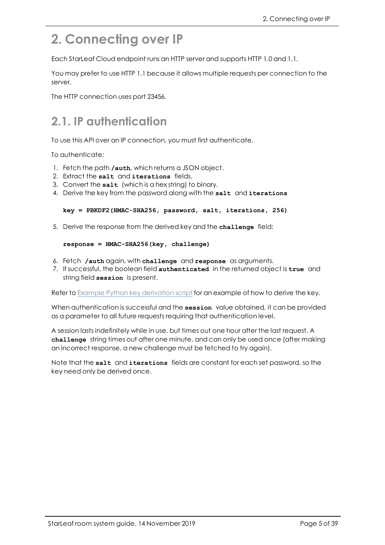# <span id="page-4-0"></span>**2. Connecting over IP**

Each StarLeaf Cloud endpoint runs an HTTP server and supports HTTP 1.0 and 1.1.

You may prefer to use HTTP 1.1 because it allows multiple requests per connection to the server.

<span id="page-4-1"></span>The HTTP connection uses port 23456.

### **2.1. IP authentication**

To use this API over an IP connection, you must first authenticate.

To authenticate:

- 1. Fetch the path **/auth**, which returns a JSON object.
- 2. Extract the **salt** and **iterations** fields.
- 3. Convert the **salt** (which is a hex string) to binary.
- 4. Derive the key from the password along with the **salt** and **iterations**

#### **key = PBKDF2(HMAC-SHA256, password, salt, iterations, 256)**

5. Derive the response from the derived key and the **challenge** field:

#### **response = HMAC-SHA256(key, challenge)**

- 6. Fetch **/auth** again, with **challenge** and **response** as arguments.
- 7. If successful, the boolean field **authenticated** in the returned object is **true** and string field **session** is present.

Refer to Example Python key [derivation](https://support.starleaf.com/integrating/cloud-endpoint-control-api/example-python-script/) script for an example of how to derive the key.

When authentication is successful and the **session** value obtained, it can be provided as a parameter to all future requests requiring that authentication level.

A session lasts indefinitely while in use, but times out one hour after the last request. A **challenge** string times out after one minute, and can only be used once (after making an incorrect response, a new challenge must be fetched to try again).

Note that the **salt** and **iterations** fields are constant for each set password, so the key need only be derived once.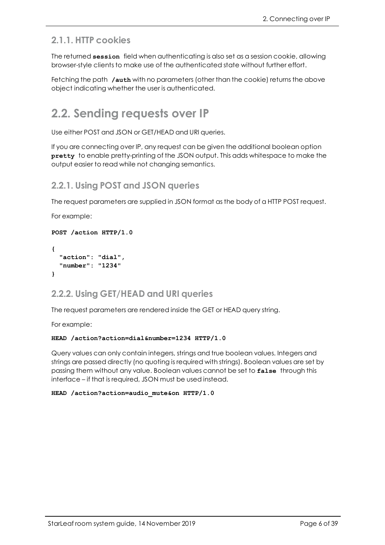### <span id="page-5-0"></span>**2.1.1. HTTP cookies**

The returned **session** field when authenticating is also set as a session cookie, allowing browser-style clients to make use of the authenticated state without further effort.

<span id="page-5-1"></span>Fetching the path **/auth** with no parameters (other than the cookie) returns the above object indicating whether the user is authenticated.

### **2.2. Sending requests over IP**

Use either POST and JSON or GET/HEAD and URI queries.

If you are connecting over IP, any request can be given the additional boolean option **pretty** to enable pretty-printing of the JSON output. This adds whitespace to make the output easier to read while not changing semantics.

#### <span id="page-5-2"></span>**2.2.1. Using POST and JSON queries**

The request parameters are supplied in JSON format as the body of a HTTP POST request.

For example:

```
POST /action HTTP/1.0
```

```
{
  "action": "dial",
  "number": "1234"
}
```
#### <span id="page-5-3"></span>**2.2.2. Using GET/HEAD and URI queries**

The request parameters are rendered inside the GET or HEAD query string.

For example:

#### **HEAD /action?action=dial&number=1234 HTTP/1.0**

Query values can only contain integers, strings and true boolean values. Integers and strings are passed directly (no quoting is required with strings). Boolean values are set by passing them without any value. Boolean values cannot be set to **false** through this interface – if that is required, JSON must be used instead.

#### **HEAD /action?action=audio\_mute&on HTTP/1.0**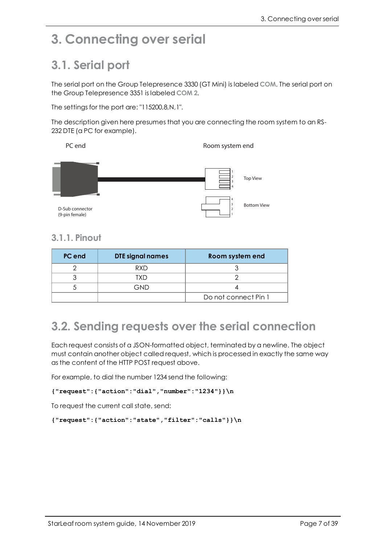## <span id="page-6-1"></span><span id="page-6-0"></span>**3. Connecting over serial**

## **3.1. Serial port**

The serial port on the Group Telepresence 3330 (GT Mini) is labeled **COM**. The serial port on the Group Telepresence 3351 is labeled **COM 2**.

The settings for the port are: "115200,8,N,1".

The description given here presumes that you are connecting the room system to an RS-232 DTE (a PC for example).

PC end
Room system end
Room system end
Room systemend
Room systemend
Room systemend
Room systemend
Room systemend
Room systemend
Room systemend
Room systemend
Room systemend
Room systemend
Room systemend
Room systemend
Roo



### <span id="page-6-2"></span>**3.1.1. Pinout**

| PC end | <b>DTE signal names</b> | Room system end      |
|--------|-------------------------|----------------------|
|        | <b>RXD</b>              |                      |
|        | TXD                     |                      |
|        | GND                     |                      |
|        |                         | Do not connect Pin 1 |

### <span id="page-6-3"></span>**3.2. Sending requests over the serial connection**

Each request consists of a JSON-formatted object, terminated by a newline. The object must contain another object called request, which is processed in exactly the same way as the content of the HTTP POST request above.

For example, to dial the number 1234 send the following:

```
{"request":{"action":"dial","number":"1234"}}\n
```
To request the current call state, send:

```
{"request":{"action":"state","filter":"calls"}}\n
```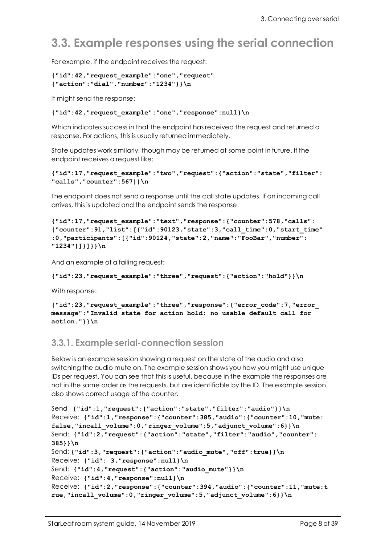### <span id="page-7-0"></span>**3.3. Example responses using the serial connection**

For example, if the endpoint receives the request:

```
{"id":42,"request_example":"one","request"
{"action":"dial","number":"1234"}}\n
```
It might send the response:

#### **{"id":42,"request\_example":"one","response":null}\n**

Which indicates success in that the endpoint has received the request and returned a response. For actions, this is usually returned immediately.

State updates work similarly, though may be returned at some point in future. If the endpoint receives a request like:

```
{"id":17,"request_example":"two","request":{"action":"state","filter":
"calls","counter":567}}\n
```
The endpoint does not send a response until the call state updates. If an incoming call arrives, this is updated and the endpoint sends the response:

```
{"id":17,"request_example":"text","response":{"counter":578,"calls":
{"counter":91,"list":[{"id":90123,"state":3,"call_time":0,"start_time"
:0,"participants":[{"id":90124,"state":2,"name":"FooBar","number":
"1234"}]}]}}\n
```
And an example of a failing request:

```
{"id":23,"request_example":"three","request":{"action":"hold"}}\n
```
With response:

```
{"id":23,"request_example":"three","response":{"error_code":7,"error_
message":"Invalid state for action hold: no usable default call for
action."}}\n
```
#### <span id="page-7-1"></span>**3.3.1. Example serial-connection session**

Below is an example session showing a request on the state of the audio and also switching the audio mute on. The example session shows you how you might use unique IDs per request. You can see that this is useful, because in the example the responses are not in the same order as the requests, but are identifiable by the ID. The example session also shows correct usage of the counter.

```
Send {"id":1,"request":{"action":"state","filter":"audio"}}\n
Receive: {"id":1,"response":{"counter":385,"audio":{"counter":10,"mute:
false,"incall_volume":0,"ringer_volume":5,"adjunct_volume":6}}\n
Send: {"id":2,"request":{"action":"state","filter":"audio","counter":
385}}\n
Send: {"id":3,"request":{"action":"audio_mute","off":true}}\n
Receive: {"id": 3,"response":null}\n
Send: {"id":4,"request":{"action":"audio_mute"}}\n
Receive: {"id":4,"response":null}\n
Receive: {"id":2,"response":{"counter":394,"audio":{"counter":11,"mute:t
rue,"incall_volume":0,"ringer_volume":5,"adjunct_volume":6}}\n
```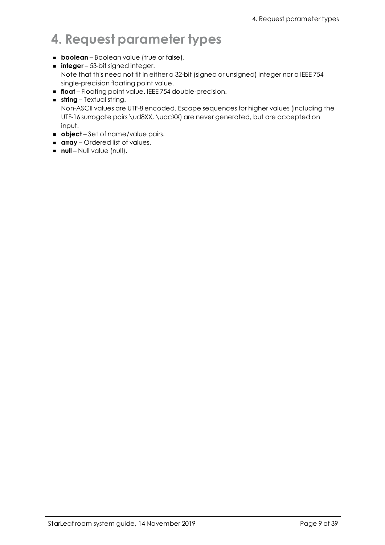# <span id="page-8-0"></span>**4. Request parameter types**

- **boolean** Boolean value (true or false).
- **n integer** 53-bit signed integer. Note that this need not fit in either a 32-bit (signed or unsigned) integer nor a IEEE 754 single-precision floating point value.
- **float** Floating point value. IEEE 754 double-precision.
- **string** Textual string. Non-ASCII values are UTF-8 encoded. Escape sequences for higher values (including the UTF-16 surrogate pairs \ud8XX, \udcXX) are never generated, but are accepted on input.
- **n object** Set of name/value pairs.
- **array** Ordered list of values.
- **null** Null value (null).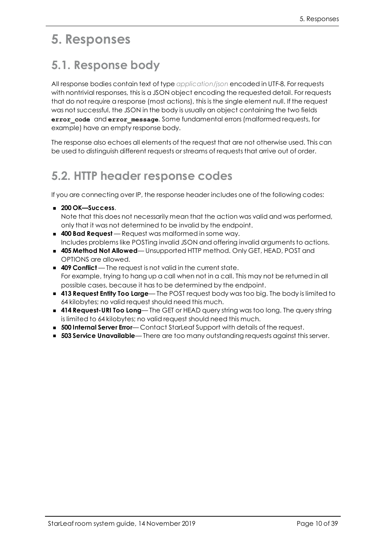### <span id="page-9-1"></span><span id="page-9-0"></span>**5. Responses**

## **5.1. Response body**

All response bodies contain text of type *application/json* encoded in UTF-8. For requests with nontrivial responses, this is a JSON object encoding the requested detail. For requests that do not require a response (most actions), this is the single element null. If the request was not successful, the JSON in the body is usually an object containing the two fields **error\_code** and **error\_message**. Some fundamental errors (malformed requests, for example) have an empty response body.

<span id="page-9-2"></span>The response also echoes all elements of the request that are not otherwise used. This can be used to distinguish different requests or streams of requests that arrive out of order.

### **5.2. HTTP header response codes**

If you are connecting over IP, the response header includes one of the following codes:

<sup>n</sup> **200 OK—Success**.

Note that this does not necessarily mean that the action was valid and was performed, only that it was not determined to be invalid by the endpoint.

- **400 Bad Request** Request was malformed in some way. Includes problems like POSTing invalid JSON and offering invalid arguments to actions.
- <sup>n</sup> **405 Method Not Allowed** Unsupported HTTP method. Only GET, HEAD, POST and OPTIONS are allowed.
- **409 Conflict** The request is not valid in the current state. For example, trying to hang up a call when not in a call. This may not be returned in all possible cases, because it has to be determined by the endpoint.
- <sup>n</sup> **413 Request Entity Too Large** The POST request body was too big. The body is limited to 64 kilobytes; no valid request should need this much.
- <sup>n</sup> **414 Request-URI Too Long** The GET or HEAD query string was too long. The query string is limited to 64 kilobytes; no valid request should need this much.
- **500 Internal Server Error** Contact StarLeaf Support with details of the request.
- <sup>n</sup> **503 Service Unavailable** There are too many outstanding requests against this server.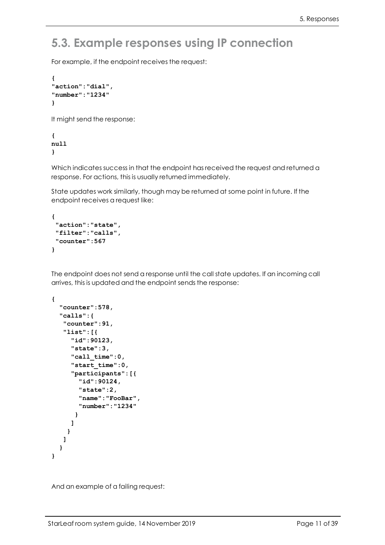### <span id="page-10-0"></span>**5.3. Example responses using IP connection**

For example, if the endpoint receives the request:

```
{
"action":"dial",
"number":"1234"
}
```
It might send the response:

**{ null }**

Which indicates success in that the endpoint has received the request and returned a response. For actions, this is usually returned immediately.

State updates work similarly, though may be returned at some point in future. If the endpoint receives a request like:

```
{
 "action":"state",
"filter":"calls",
"counter":567
}
```
The endpoint does not send a response until the call state updates. If an incoming call arrives, this is updated and the endpoint sends the response:

```
{
  "counter":578,
  "calls":{
   "counter":91,
   "list":[{
     "id":90123,
     "state":3,
     "call_time":0,
     "start_time":0,
     "participants":[{
       "id":90124,
       "state":2,
       "name":"FooBar",
       "number":"1234"
      }
     ]
    }
   ]
  }
}
```
And an example of a failing request: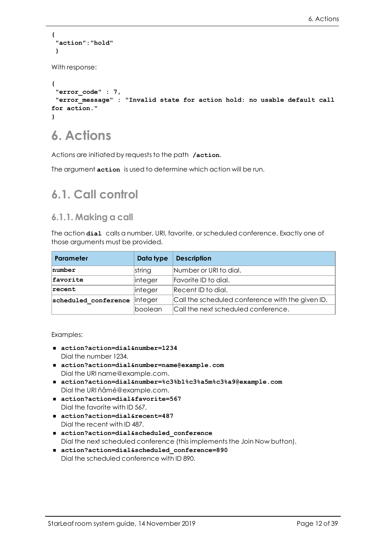```
{
 "action":"hold"
 }
With response:
{
 "error_code" : 7,
"error_message" : "Invalid state for action hold: no usable default call
for action."
}
```
# <span id="page-11-0"></span>**6. Actions**

Actions are initiated by requests to the path **/action**.

<span id="page-11-1"></span>The argument **action** is used to determine which action will be run.

### <span id="page-11-2"></span>**6.1. Call control**

#### **6.1.1. Making a call**

The action **dial** calls a number, URI, favorite, or scheduled conference. Exactly one of those arguments must be provided.

| Parameter            | Data type      | <b>Description</b>                               |
|----------------------|----------------|--------------------------------------------------|
| number               | string         | Number or URI to dial.                           |
| favorite             | <i>integer</i> | Favorite ID to dial.                             |
| recent               | <i>integer</i> | Recent ID to dial.                               |
| scheduled conference | <i>integer</i> | Call the scheduled conference with the given ID. |
|                      | boolean        | Call the next scheduled conference.              |

#### Examples:

- action?action=dial&number=1234 Dial the number 1234.
- <sup>n</sup> **action?action=dial&number=name@example.com** Dial the URI name@example.com.
- <sup>n</sup> **action?action=dial&number=%c3%b1%c3%a5m%c3%a9@example.com** Dial the URI ñåmé@example.com.
- action?action=dial&favorite=567 Dial the favorite with ID 567.
- action?action=dial&recent=487 Dial the recent with ID 487.
- <sup>n</sup> **action?action=dial&scheduled\_conference** Dial the next scheduled conference (this implements the Join Now button).
- action?action=dial&scheduled conference=890 Dial the scheduled conference with ID 890.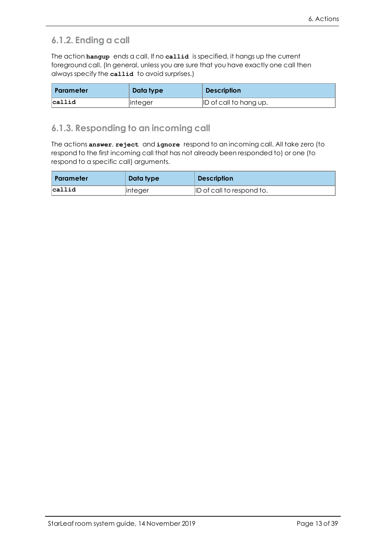### <span id="page-12-0"></span>**6.1.2. Ending a call**

The action **hangup** ends a call. If no **callid** is specified, it hangs up the current foreground call. (In general, unless you are sure that you have exactly one call then always specify the **callid** to avoid surprises.)

| Parameter  | Data type | <b>Description</b>     |
|------------|-----------|------------------------|
| $l$ callid | linteger  | ID of call to hang up. |

#### <span id="page-12-1"></span>**6.1.3. Responding to an incoming call**

The actions **answer**, **reject** and **ignore** respond to an incoming call. All take zero (to respond to the first incoming call that has not already been responded to) or one (to respond to a specific call) arguments.

| Parameter  | Data type | <b>Description</b>        |
|------------|-----------|---------------------------|
| $l$ callid | linteger  | ID of call to respond to. |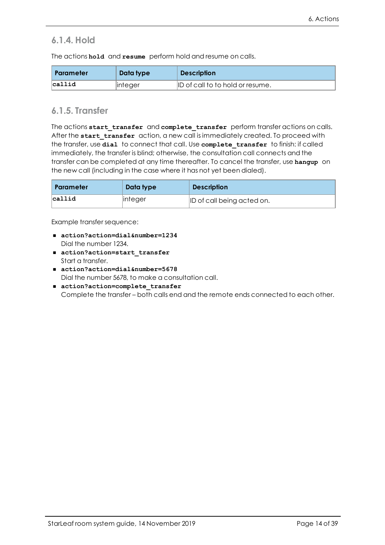### <span id="page-13-0"></span>**6.1.4. Hold**

The actions **hold** and **resume** perform hold and resume on calls.

| Parameter  | Data type | <b>Description</b>               |
|------------|-----------|----------------------------------|
| $l$ callid | linteger  | ID of call to to hold or resume. |

### <span id="page-13-1"></span>**6.1.5. Transfer**

The actions start transfer and complete transfer perform transfer actions on calls. After the **start\_transfer** action, a new call is immediately created. To proceed with the transfer, use **dial** to connect that call. Use **complete\_transfer** to finish: if called immediately, the transfer is blind; otherwise, the consultation call connects and the transfer can be completed at any time thereafter. To cancel the transfer, use **hangup** on the new call (including in the case where it has not yet been dialed).

| <b>Parameter</b> | Data type   | <b>Description</b>         |
|------------------|-------------|----------------------------|
| $l$ callid       | $ $ integer | ID of call being acted on. |

Example transfer sequence:

- action?action=dial&number=1234 Dial the number 1234.
- action?action=start transfer Start a transfer.
- action?action=dial&number=5678 Dial the number 5678, to make a consultation call.
- action?action=complete\_transfer Complete the transfer – both calls end and the remote ends connected to each other.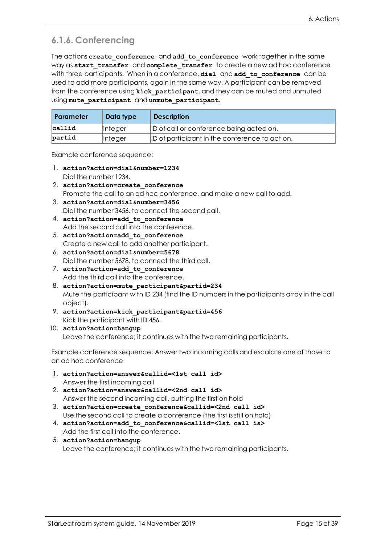### <span id="page-14-0"></span>**6.1.6. Conferencing**

The actions create conference and add to conference work together in the same way as **start\_transfer** and **complete\_transfer** to create a new ad hoc conference with three participants. When in a conference, **dial** and **add\_to\_conference** can be used to add more participants, again in the same way. A participant can be removed from the conference using **kick\_participant**, and they can be muted and unmuted using **mute\_participant** and **unmute\_participant**.

| Parameter | Data type | <b>Description</b>                             |
|-----------|-----------|------------------------------------------------|
| callid    | linteger  | ID of call or conference being acted on.       |
| partid    | linteger  | ID of participant in the conference to act on. |

Example conference sequence:

- 1. **action?action=dial&number=1234** Dial the number 1234.
- 2. **action?action=create\_conference** Promote the call to an ad hoc conference, and make a new call to add.
- 3. **action?action=dial&number=3456** Dial the number 3456, to connect the second call.
- 4. **action?action=add\_to\_conference** Add the second call into the conference.
- 5. **action?action=add\_to\_conference** Create a new call to add another participant.
- 6. **action?action=dial&number=5678** Dial the number 5678, to connect the third call.
- 7. **action?action=add\_to\_conference** Add the third call into the conference.
- 8. **action?action=mute\_participant&partid=234** Mute the participant with ID 234 (find the ID numbers in the participants array in the call object).
- 9. **action?action=kick\_participant&partid=456** Kick the participant with ID 456.
- 10. **action?action=hangup** Leave the conference; it continues with the two remaining participants.

Example conference sequence: Answer two incoming calls and escalate one of those to an ad hoc conference

- 1. **action?action=answer&callid=<1st call id>** Answer the first incoming call
- 2. **action?action=answer&callid=<2nd call id>** Answer the second incoming call, putting the first on hold
- 3. **action?action=create\_conference&callid=<2nd call id>** Use the second call to create a conference (the first is still on hold)
- 4. **action?action=add\_to\_conference&callid=<1st call is>** Add the first call into the conference.
- 5. **action?action=hangup** Leave the conference; it continues with the two remaining participants.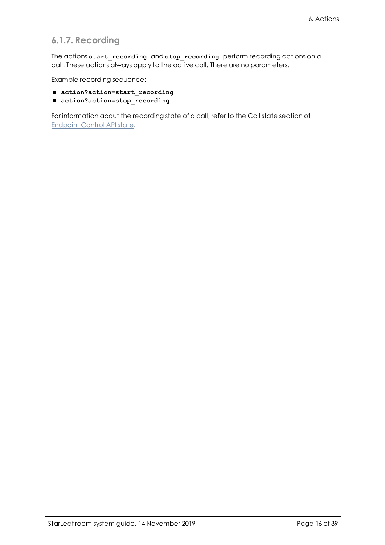### <span id="page-15-0"></span>**6.1.7. Recording**

The actions **start\_recording** and **stop\_recording** perform recording actions on a call. These actions always apply to the active call. There are no parameters.

Example recording sequence:

- action?action=start\_recording
- action?action=stop\_recording

For information about the recording state of a call, refer to the Call state section of [Endpoint](https://support.starleaf.com/integrating/cloud-endpoint-control-api/state/#4-Calls) Control API state.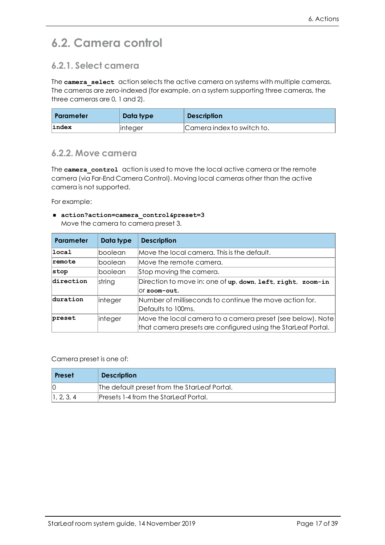## <span id="page-16-0"></span>**6.2. Camera control**

### <span id="page-16-1"></span>**6.2.1. Select camera**

The **camera** select action selects the active camera on systems with multiple cameras. The cameras are zero-indexed (for example, on a system supporting three cameras, the three cameras are 0, 1 and 2).

| <b>Parameter</b> | Data type | <b>Description</b>         |
|------------------|-----------|----------------------------|
| index            | linteger  | Camera index to switch to. |

#### <span id="page-16-2"></span>**6.2.2. Move camera**

The **camera** control action is used to move the local active camera or the remote camera (via Far-End Camera Control). Moving local cameras other than the active camera is not supported.

For example:

#### ■ action?action=camera control&preset=3

Move the camera to camera preset 3.

| <b>Parameter</b> | Data type | <b>Description</b>                                                                                                                          |
|------------------|-----------|---------------------------------------------------------------------------------------------------------------------------------------------|
| local            | boolean   | Move the local camera. This is the default.                                                                                                 |
| <b>remote</b>    | boolean   | Move the remote camera.                                                                                                                     |
| stop             | boolean   | Stop moving the camera.                                                                                                                     |
| direction        | string    | Direction to move in: one of up, down, left, right, zoom-in<br>Or zoom-out.                                                                 |
| duration         | integer   | Number of milliseconds to continue the move action for.<br>Defaults to 100ms.                                                               |
| preset           | integer   | $\vert$ Move the local camera to a camera preset (see below). Note $\vert$<br>that camera presets are configured using the StarLeaf Portal. |

Camera preset is one of:

| <b>Preset</b> | <b>Description</b>                           |
|---------------|----------------------------------------------|
|               | The default preset from the StarLeaf Portal. |
| 1, 2, 3, 4    | Presets 1-4 from the StarLeaf Portal.        |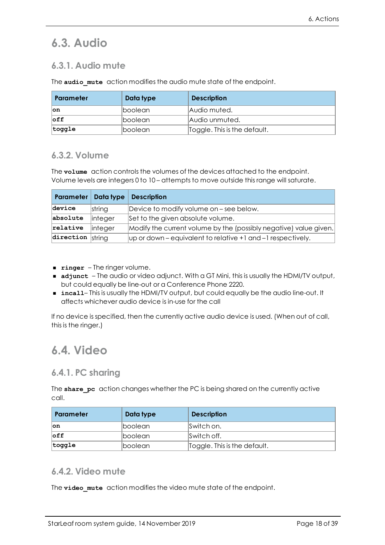## <span id="page-17-1"></span><span id="page-17-0"></span>**6.3. Audio**

### **6.3.1. Audio mute**

The **audio** mute action modifies the audio mute state of the endpoint.

| Parameter       | Data type       | <b>Description</b>           |
|-----------------|-----------------|------------------------------|
| ∣on             | <b>Iboolean</b> | Audio muted.                 |
| $\mathsf{left}$ | lboolean        | Audio unmuted.               |
| $ $ toggle      | <b>Iboolean</b> | Toggle. This is the default. |

### <span id="page-17-2"></span>**6.3.2. Volume**

The **volume** action controls the volumes of the devices attached to the endpoint. Volume levels are integers 0 to 10 – attempts to move outside this range will saturate.

|                           | Parameter   Data type | <b>Description</b>                                                |
|---------------------------|-----------------------|-------------------------------------------------------------------|
| device                    | string                | Device to modify volume on – see below.                           |
| absolute                  | linteger              | Set to the given absolute volume.                                 |
| relative                  | linteger              | Modify the current volume by the (possibly negative) value given. |
| $\left $ direction string |                       | $\mu$ p or down – equivalent to relative +1 and –1 respectively.  |

- **Finger** The ringer volume.
- **adjunct** The audio or video adjunct. With a GT Mini, this is usually the HDMI/TV output, but could equally be line-out or a Conference Phone 2220.
- incall– This is usually the HDMI/TV output, but could equally be the audio line-out. It affects whichever audio device is in-use for the call

If no device is specified, then the currently active audio device is used. (When out of call, this is the ringer.)

### <span id="page-17-4"></span><span id="page-17-3"></span>**6.4. Video**

#### **6.4.1. PC sharing**

The **share** pc action changes whether the PC is being shared on the currently active call.

| Parameter       | Data type       | <b>Description</b>           |
|-----------------|-----------------|------------------------------|
| ∣on             | <b>Iboolean</b> | Switch on.                   |
| $\mathsf{left}$ | <b>Iboolean</b> | Switch off.                  |
| $ $ toggle      | lboolean        | Toggle. This is the default. |

#### <span id="page-17-5"></span>**6.4.2. Video mute**

The **video** mute action modifies the video mute state of the endpoint.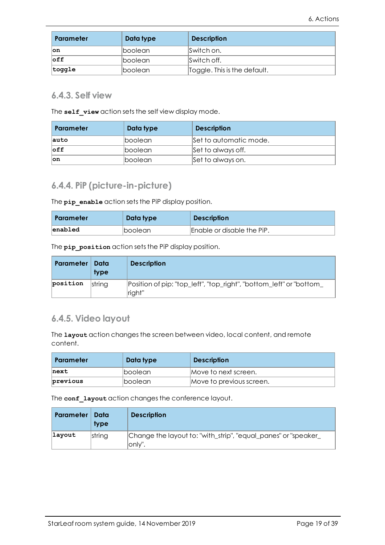| Parameter       | Data type              | <b>Description</b>           |
|-----------------|------------------------|------------------------------|
| ∣on             | <i><b>Iboolean</b></i> | Switch on.                   |
| $\mathsf{left}$ | <b>Iboolean</b>        | Switch off.                  |
| $ $ toggle      | lboolean               | Toggle. This is the default. |

#### <span id="page-18-0"></span>**6.4.3. Self view**

The **self** view action sets the self view display mode.

| Parameter       | Data type       | <b>Description</b>     |
|-----------------|-----------------|------------------------|
| auto            | <b>Iboolean</b> | Set to automatic mode. |
| $\mathsf{left}$ | boolean         | Set to always off.     |
| ∣on             | boolean         | Set to always on.      |

### <span id="page-18-1"></span>**6.4.4. PiP (picture-in-picture)**

The **pip** enable action sets the PiP display position.

| Parameter | Data type              | <b>Description</b>         |
|-----------|------------------------|----------------------------|
| enabled   | <i><b>Iboolean</b></i> | Enable or disable the PiP. |

The **pip** position action sets the PiP display position.

| <b>Parameter</b> | Data<br><b>type</b> | <b>Description</b>                                                            |
|------------------|---------------------|-------------------------------------------------------------------------------|
| position         | string              | Position of pip: "top_left", "top_right", "bottom_left" or "bottom_<br>right" |

### <span id="page-18-2"></span>**6.4.5. Video layout**

The **layout** action changes the screen between video, local content, and remote content.

| Parameter | Data type       | <b>Description</b>       |
|-----------|-----------------|--------------------------|
| next      | <b>Iboolean</b> | Move to next screen.     |
| previous  | <b>Iboolean</b> | Move to previous screen. |

The **conf\_layout** action changes the conference layout.

| <b>Parameter</b> | Data<br>type | <b>Description</b>                                                        |
|------------------|--------------|---------------------------------------------------------------------------|
| layout           | string       | Change the layout to: "with_strip", "equal_panes" or "speaker_<br>lonly". |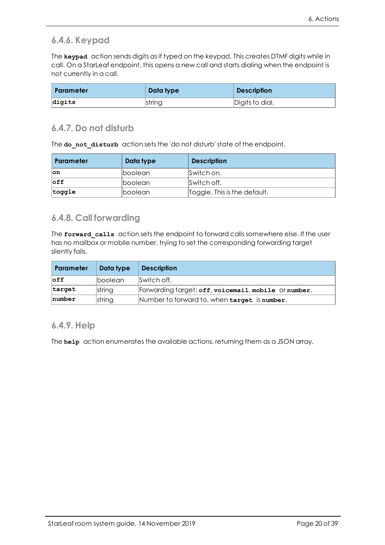#### <span id="page-19-0"></span>**6.4.6. Keypad**

The **keypad** action sends digits as if typed on the keypad. This creates DTMF digits while in call. On a StarLeaf endpoint, this opens a new call and starts dialing when the endpoint is not currently in a call.

| Parameter | Data type | <b>Description</b> |
|-----------|-----------|--------------------|
| digits    | string    | Digits to dial.    |

#### <span id="page-19-1"></span>**6.4.7. Do not disturb**

The **do\_not\_disturb** action sets the 'do not disturb' state of the endpoint.

| Parameter       | Data type       | <b>Description</b>           |
|-----------------|-----------------|------------------------------|
| ∣on             | <b>Iboolean</b> | Switch on.                   |
| $\mathsf{left}$ | <b>Iboolean</b> | Switch off.                  |
| $ $ toggle      | <b>Iboolean</b> | Toggle. This is the default. |

### <span id="page-19-2"></span>**6.4.8. Call forwarding**

The forward calls action sets the endpoint to forward calls somewhere else. If the user has no mailbox or mobile number, trying to set the corresponding forwarding target silently fails.

| <b>Parameter</b> | Data type | <b>Description</b>                                   |
|------------------|-----------|------------------------------------------------------|
| $\mathsf{off}$   | lboolean  | Switch off.                                          |
| target           | string    | Forwarding target: off, voicemail, mobile Or number. |
| number           | string    | Number to forward to, when target is number.         |

#### <span id="page-19-3"></span>**6.4.9. Help**

The **help** action enumerates the available actions, returning them as a JSON array.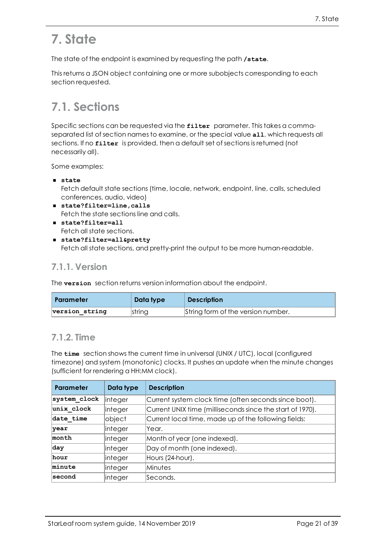# <span id="page-20-0"></span>**7. State**

The state of the endpoint is examined by requesting the path **/state**.

<span id="page-20-1"></span>This returns a JSON object containing one or more subobjects corresponding to each section requested.

## **7.1. Sections**

Specific sections can be requested via the **filter** parameter. This takes a commaseparated list of section names to examine, or the special value **all**, which requests all sections. If no **filter** is provided, then a default set of sections is returned (not necessarily all).

Some examples:

<sup>n</sup> **state**

Fetch default state sections (time, locale, network, endpoint, line, calls, scheduled conferences, audio, video)

- state?filter=line, calls Fetch the state sections line and calls.
- <sup>n</sup> **state?filter=all** Fetch all state sections.
- state?filter=all&pretty Fetch all state sections, and pretty-print the output to be more human-readable.

### <span id="page-20-2"></span>**7.1.1. Version**

The **version** section returns version information about the endpoint.

| Parameter      | Data type | <b>Description</b>                 |
|----------------|-----------|------------------------------------|
| version string | string    | String form of the version number. |

### <span id="page-20-3"></span>**7.1.2. Time**

The **time** section shows the current time in universal (UNIX / UTC), local (configured timezone) and system (monotonic) clocks. It pushes an update when the minute changes (sufficient for rendering a HH:MM clock).

| Parameter    | Data type      | <b>Description</b>                                        |
|--------------|----------------|-----------------------------------------------------------|
| system clock | <i>integer</i> | Current system clock time (often seconds since boot).     |
| unix clock   | integer        | Current UNIX time (milliseconds since the start of 1970). |
| date time    | object         | Current local time, made up of the following fields:      |
| <b>year</b>  | integer        | lYear.                                                    |
| month        | integer        | Month of year (one indexed).                              |
| day          | integer        | Day of month (one indexed).                               |
| hour         | integer        | Hours (24-hour).                                          |
| minute       | integer        | Minutes                                                   |
| second       | integer        | Seconds.                                                  |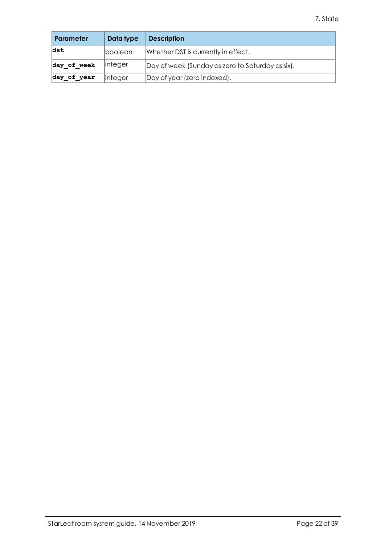| Parameter   | Data type   | <b>Description</b>                               |
|-------------|-------------|--------------------------------------------------|
| ldst        | lboolean    | Whether DST is currently in effect.              |
| day of week | $ $ integer | Day of week (Sunday as zero to Saturday as six). |
| day_of_year | $ $ integer | Day of year (zero indexed).                      |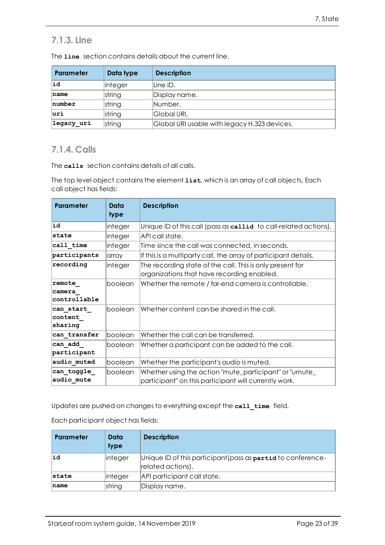### <span id="page-22-0"></span>**7.1.3. Line**

| Parameter  | Data type | <b>Description</b>                           |
|------------|-----------|----------------------------------------------|
| ∣id        | linteger  | lLine ID.                                    |
| name       | string    | Display name.                                |
| number     | string    | Number.                                      |
| luri       | string    | Global URI.                                  |
| legacy uri | string    | Global URI usable with legacy H.323 devices. |

The **line** section contains details about the current line.

### <span id="page-22-1"></span>**7.1.4. Calls**

The **calls** section contains details of all calls.

The top level object contains the element **list**, which is an array of call objects. Each call object has fields:

| <b>Parameter</b>                 | Data<br>type | <b>Description</b>                                                                                              |
|----------------------------------|--------------|-----------------------------------------------------------------------------------------------------------------|
| ∣id                              | integer      | Unique ID of this call (pass as callid to call-related actions).                                                |
| Istate                           | integer      | API call state.                                                                                                 |
| call time                        | integer      | Time since the call was connected, in seconds.                                                                  |
| participants                     | array        | If this is a multiparty call, the array of participant details.                                                 |
| recording                        | integer      | The recording state of the call. This is only present for<br>organizations that have recording enabled.         |
| remote<br>camera<br>controllable | boolean      | Whether the remote / far-end camera is controllable.                                                            |
| can start<br>content<br>sharing  | boolean      | Whether content can be shared in the call.                                                                      |
| can_transfer                     | boolean      | Whether the call can be transferred.                                                                            |
| can add<br>participant           | boolean      | Whether a participant can be added to the call.                                                                 |
| audio_muted                      | boolean      | Whether the participant's audio is muted.                                                                       |
| can toggle<br>audio mute         | boolean      | Whether using the action "mute_participant" or "umute_<br>participant" on this participant will currently work. |

Updates are pushed on changes to everything except the **call\_time** field.

Each participant object has fields:

| Parameter | Data<br>type | <b>Description</b>                                                                |
|-----------|--------------|-----------------------------------------------------------------------------------|
| lid       | integer      | Unique ID of this participant (pass as partid to conference-<br>related actions). |
| state     | integer      | API participant call state.                                                       |
| name      | string       | Display name.                                                                     |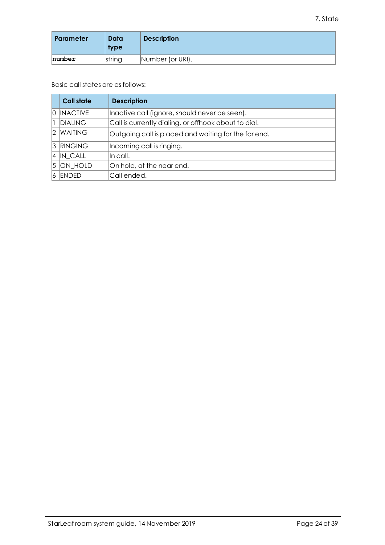| <b>Parameter</b> | Data<br><b>type</b> | <b>Description</b> |
|------------------|---------------------|--------------------|
| number           | string              | Number (or URI).   |

Basic call states are as follows:

|     | <b>Call state</b> | <b>Description</b>                                   |
|-----|-------------------|------------------------------------------------------|
|     | 0 INACTIVE        | Inactive call (ignore, should never be seen).        |
|     | <b>DIALING</b>    | Call is currently dialing, or offhook about to dial. |
| 2   | <b>WAITING</b>    | Outgoing call is placed and waiting for the far end. |
|     | 3 RINGING         | Incoming call is ringing.                            |
|     | $ 4 $ IN CALL     | lln call.                                            |
|     | $ 5 $ ON HOLD     | On hold, at the near end.                            |
| 16. | <b>ENDED</b>      | Call ended.                                          |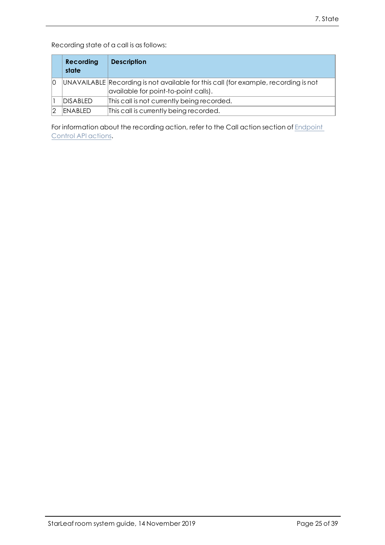Recording state of a call is as follows:

|    | <b>Recording</b><br>state | <b>Description</b>                                                                                                          |
|----|---------------------------|-----------------------------------------------------------------------------------------------------------------------------|
| 10 |                           | UNAVAILABLE Recording is not available for this call (for example, recording is not<br>available for point-to-point calls). |
|    | <b>DISABLED</b>           | This call is not currently being recorded.                                                                                  |
|    | ENABLED                   | This call is currently being recorded.                                                                                      |

For information about the recording action, refer to the Call action section of [Endpoint](https://support.starleaf.com/integrating/cloud-endpoint-control-api/actions/) [Control](https://support.starleaf.com/integrating/cloud-endpoint-control-api/actions/) API actions.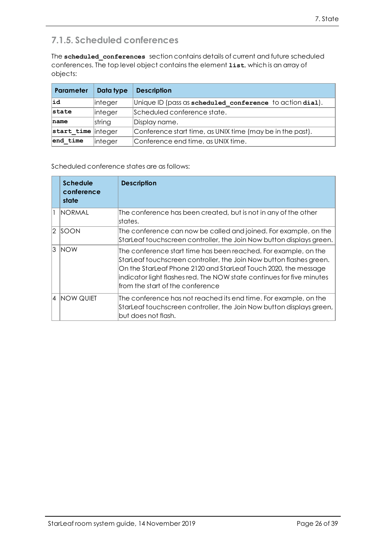### <span id="page-25-0"></span>**7.1.5. Scheduled conferences**

The **scheduled\_conferences** section contains details of current and future scheduled conferences. The top level object contains the element **list**, which is an array of objects:

| Parameter          | Data type      | <b>Description</b>                                        |
|--------------------|----------------|-----------------------------------------------------------|
| lid                | <i>integer</i> | Unique ID (pass as scheduled conference to action dial).  |
| state              | linteger       | Scheduled conference state.                               |
| name               | string         | Display name.                                             |
| start_time integer |                | Conference start time, as UNIX time (may be in the past). |
| end time           | <i>integer</i> | Conference end time, as UNIX time.                        |

Scheduled conference states are as follows:

|           | <b>Schedule</b><br>conference<br>state | <b>Description</b>                                                                                                                                                                                                                                                                                                      |
|-----------|----------------------------------------|-------------------------------------------------------------------------------------------------------------------------------------------------------------------------------------------------------------------------------------------------------------------------------------------------------------------------|
|           | Inormal                                | The conference has been created, but is not in any of the other<br>lstates.                                                                                                                                                                                                                                             |
| $\vert$ 2 | <b>SOON</b>                            | The conference can now be called and joined. For example, on the<br>StarLeaf touchscreen controller, the Join Now button displays green.                                                                                                                                                                                |
| 3         | <b>NOW</b>                             | The conference start time has been reached. For example, on the<br>StarLeaf touchscreen controller, the Join Now button flashes green.<br>On the StarLeaf Phone 2120 and StarLeaf Touch 2020, the message<br>indicator light flashes red. The NOW state continues for five minutes<br>lfrom the start of the conference |
| 4         | <b>NOW QUIET</b>                       | The conference has not reached its end time. For example, on the<br>StarLeaf touchscreen controller, the Join Now button displays green,<br>but does not flash.                                                                                                                                                         |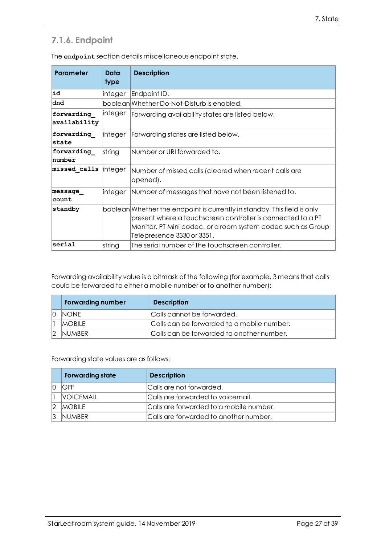### <span id="page-26-0"></span>**7.1.6. Endpoint**

| <b>Parameter</b>           | Data<br>type   | <b>Description</b>                                                                                                                                                                                                                    |
|----------------------------|----------------|---------------------------------------------------------------------------------------------------------------------------------------------------------------------------------------------------------------------------------------|
| ∣id                        | integer        | Endpoint ID.                                                                                                                                                                                                                          |
| dnd                        |                | boolean Whether Do-Not-Disturb is enabled.                                                                                                                                                                                            |
| forwarding<br>availability | linteger       | Forwarding availability states are listed below.                                                                                                                                                                                      |
| forwarding<br><b>state</b> | integer        | Forwarding states are listed below.                                                                                                                                                                                                   |
| forwarding<br>number       | string         | Number or URI forwarded to.                                                                                                                                                                                                           |
| missed calls               | <i>integer</i> | Number of missed calls (cleared when recent calls are<br>opened).                                                                                                                                                                     |
| message<br> count          | integer        | Number of messages that have not been listened to.                                                                                                                                                                                    |
| standby                    |                | boolean Whether the endpoint is currently in standby. This field is only<br>present where a touchscreen controller is connected to a PT<br>Monitor, PT Mini codec, or a room system codec such as Group<br>Telepresence 3330 or 3351. |
| serial                     | string         | The serial number of the touchscreen controller.                                                                                                                                                                                      |

The **endpoint** section details miscellaneous endpoint state.

Forwarding availability value is a bitmask of the following (for example, 3 means that calls could be forwarded to either a mobile number or to another number):

| <b>Forwarding number</b> | <b>Description</b>                         |
|--------------------------|--------------------------------------------|
| Inone.                   | Calls cannot be forwarded.                 |
| <b>MOBILE</b>            | Calls can be forwarded to a mobile number. |
| <b>INUMBER</b>           | Calls can be forwarded to another number.  |

Forwarding state values are as follows:

|               | <b>Forwarding state</b> | <b>Description</b>                      |
|---------------|-------------------------|-----------------------------------------|
|               | OFF                     | Calls are not forwarded.                |
|               | <b>VOICEMAIL</b>        | Calls are forwarded to voicemail.       |
| $\mathcal{D}$ | <b>IMOBILE</b>          | Calls are forwarded to a mobile number. |
|               | INUMBER                 | Calls are forwarded to another number.  |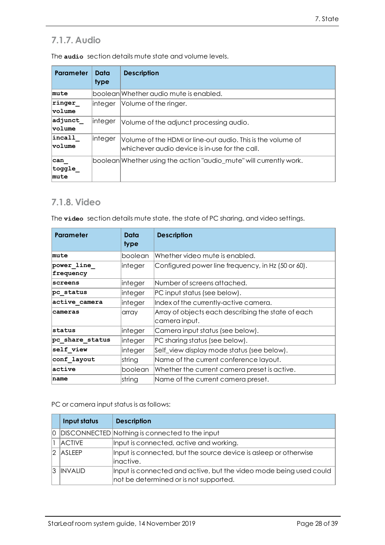### <span id="page-27-0"></span>**7.1.7. Audio**

| <b>Parameter</b>           | Data<br>type | <b>Description</b>                                                                                            |
|----------------------------|--------------|---------------------------------------------------------------------------------------------------------------|
| mute                       |              | boolean Whether audio mute is enabled.                                                                        |
| ringer<br><b>volume</b>    | linteger     | Volume of the ringer.                                                                                         |
| adjunct<br><b>volume</b>   | linteger     | Volume of the adjunct processing audio.                                                                       |
| incal1<br><b>volume</b>    | linteger     | Volume of the HDMI or line-out audio. This is the volume of<br>whichever audio device is in-use for the call. |
| ∣can<br>$ $ toggle<br>mute |              | boolean Whether using the action "audio mute" will currently work.                                            |

The **audio** section details mute state and volume levels.

### <span id="page-27-1"></span>**7.1.8. Video**

The **video** section details mute state, the state of PC sharing, and video settings.

| <b>Parameter</b>        | Data<br>type                                                  | <b>Description</b>                                                  |
|-------------------------|---------------------------------------------------------------|---------------------------------------------------------------------|
| mute                    | boolean                                                       | Whether video mute is enabled.                                      |
| power line<br>frequency | Configured power line frequency, in Hz (50 or 60).<br>integer |                                                                     |
| <b>screens</b>          | integer                                                       | Number of screens attached.                                         |
| pc status               | integer                                                       | PC input status (see below).                                        |
| active camera           | integer                                                       | Index of the currently-active camera.                               |
| cameras                 | array                                                         | Array of objects each describing the state of each<br>camera input. |
| lstatus                 | integer                                                       | Camera input status (see below).                                    |
| pc share status         | integer                                                       | PC sharing status (see below).                                      |
| self view               | integer                                                       | Self_view display mode status (see below).                          |
| conf layout             | string                                                        | Name of the current conference layout.                              |
| active                  | boolean                                                       | Whether the current camera preset is active.                        |
| name                    | string                                                        | Name of the current camera preset.                                  |

PC or camera input status is as follows:

| Input status   | <b>Description</b>                                                                                           |
|----------------|--------------------------------------------------------------------------------------------------------------|
|                | 0 DISCONNECTED Nothing is connected to the input                                                             |
| <b>ACTIVE</b>  | Input is connected, active and working.                                                                      |
| $ 2 $ ASLEEP   | Input is connected, but the source device is asleep or otherwise<br>linactive.                               |
| <b>INVALID</b> | Input is connected and active, but the video mode being used could<br>not be determined or is not supported. |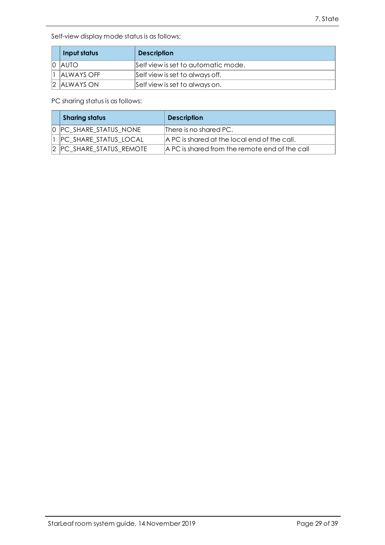Self-view display mode status is as follows:

|                | Input status       | <b>Description</b>                  |
|----------------|--------------------|-------------------------------------|
| $\overline{0}$ | <b>IAUTO</b>       | Self view is set to automatic mode. |
|                | <b>IALWAYS OFF</b> | Self view is set to always off.     |
|                | 2 ALWAYS ON        | Self view is set to always on.      |

PC sharing status is as follows:

| <b>Sharing status</b>        | <b>Description</b>                             |
|------------------------------|------------------------------------------------|
| 0 PC SHARE STATUS NONE       | There is no shared PC.                         |
| <b>PC SHARE STATUS LOCAL</b> | A PC is shared at the local end of the call.   |
| 2 PC_SHARE_STATUS_REMOTE     | A PC is shared from the remote end of the call |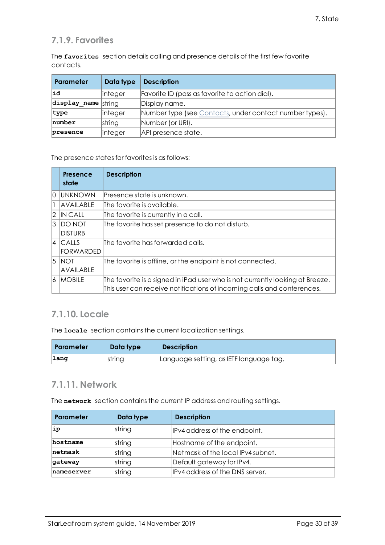### <span id="page-29-0"></span>**7.1.9. Favorites**

The **favorites** section details calling and presence details of the first few favorite contacts.

| <b>Parameter</b>                                                   | Data type      | <b>Description</b>                                      |
|--------------------------------------------------------------------|----------------|---------------------------------------------------------|
| lid                                                                | linteger       | Favorite ID (pass as favorite to action dial).          |
| $\frac{1}{\text{displayname}}$ and $\frac{1}{\text{displaystyle}}$ |                | Display name.                                           |
| type                                                               | linteger       | Number type (see Contacts, under contact number types). |
| number                                                             | string         | Number (or URI).                                        |
| presence                                                           | <i>integer</i> | API presence state.                                     |

The presence states for favorites is as follows:

|                | Presence<br>state | <b>Description</b>                                                            |
|----------------|-------------------|-------------------------------------------------------------------------------|
| lO.            | Iunknown          | lPresence state is unknown.                                                   |
|                | <b>AVAILABLE</b>  | The favorite is available.                                                    |
| 12             | IN CAII           | The favorite is currently in a call.                                          |
| $\mathcal{E}$  | DO NOT            | The favorite has set presence to do not disturb.                              |
|                | <b>DISTURB</b>    |                                                                               |
|                | $4$ Calls         | The favorite has forwarded calls.                                             |
|                | <b>FORWARDED</b>  |                                                                               |
| <sup>5</sup>   | <b>INOT</b>       | The favorite is offline, or the endpoint is not connected.                    |
|                | AVAILABLE         |                                                                               |
| $\overline{6}$ | <b>MOBILE</b>     | The favorite is a signed in iPad user who is not currently looking at Breeze. |
|                |                   | This user can receive notifications of incoming calls and conferences.        |

### <span id="page-29-1"></span>**7.1.10. Locale**

The **locale** section contains the current localization settings.

| <b>Parameter</b> | Data type | <b>Description</b>                      |
|------------------|-----------|-----------------------------------------|
| $\lfloor$ lang   | string    | Language setting, as IETF language tag. |

### <span id="page-29-2"></span>**7.1.11. Network**

The **network** section contains the current IP address and routing settings.

| Parameter  | Data type | <b>Description</b>                |
|------------|-----------|-----------------------------------|
| ip         | string    | IPv4 address of the endpoint.     |
| hostname   | string    | Hostname of the endpoint.         |
| netmask    | string    | Netmask of the local IPv4 subnet. |
| qateway    | string    | Default gateway for IPv4.         |
| nameserver | string    | IPv4 address of the DNS server.   |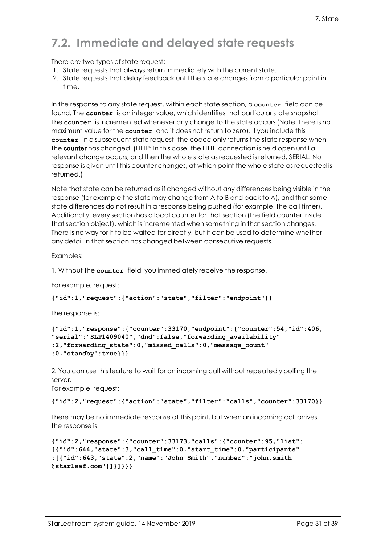## <span id="page-30-0"></span>**7.2. Immediate and delayed state requests**

There are two types of state request:

- 1. State requests that always return immediately with the current state.
- 2. State requests that delay feedback until the state changes from a particular point in time.

In the response to any state request, within each state section, a **counter** field can be found. The **counter** is an integer value, which identifies that particular state snapshot. The **counter** is incremented whenever any change to the state occurs (Note. there is no maximum value for the **counter** and it does not return to zero). If you include this **counter** in a subsequent state request, the codec only returns the state response when the counter has changed. (HTTP: In this case, the HTTP connection is held open until a relevant change occurs, and then the whole state as requested is returned. SERIAL: No response is given until this counter changes, at which point the whole state as requested is returned.)

Note that state can be returned as if changed without any differences being visible in the response (for example the state may change from A to B and back to A), and that some state differences do not result in a response being pushed (for example, the call timer). Additionally, every section has a local counter for that section (the field counter inside that section object), which is incremented when something in that section changes. There is no way for it to be waited-for directly, but it can be used to determine whether any detail in that section has changed between consecutive requests.

Examples:

1. Without the **counter** field, you immediately receive the response.

For example, request:

```
{"id":1,"request":{"action":"state","filter":"endpoint"}}
```
The response is:

```
{"id":1,"response":{"counter":33170,"endpoint":{"counter":54,"id":406,
"serial":"SLP1409040","dnd":false,"forwarding_availability"
:2,"forwarding_state":0,"missed_calls":0,"message_count"
:0,"standby":true}}}
```
2. You can use this feature to wait for an incoming call without repeatedly polling the server.

For example, request:

**{"id":2,"request":{"action":"state","filter":"calls","counter":33170}}**

There may be no immediate response at this point, but when an incoming call arrives, the response is:

```
{"id":2,"response":{"counter":33173,"calls":{"counter":95,"list":
[{"id":644,"state":3,"call_time":0,"start_time":0,"participants"
:[{"id":643,"state":2,"name":"John Smith","number":"john.smith
@starleaf.com"}]}]}}}
```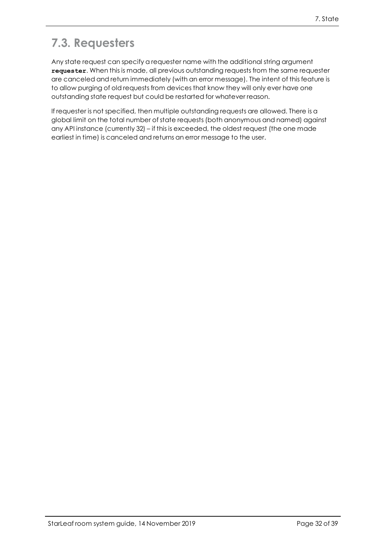## <span id="page-31-0"></span>**7.3. Requesters**

Any state request can specify a requester name with the additional string argument **requester**. When this is made, all previous outstanding requests from the same requester are canceled and return immediately (with an error message). The intent of this feature is to allow purging of old requests from devices that know they will only ever have one outstanding state request but could be restarted for whatever reason.

If requester is not specified, then multiple outstanding requests are allowed. There is a global limit on the total number of state requests (both anonymous and named) against any API instance (currently 32) – if this is exceeded, the oldest request (the one made earliest in time) is canceled and returns an error message to the user.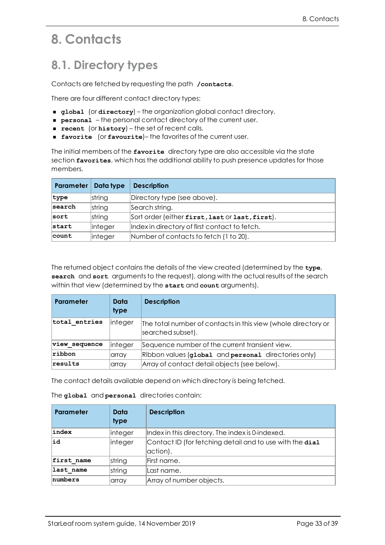## <span id="page-32-1"></span><span id="page-32-0"></span>**8. Contacts**

## **8.1. Directory types**

Contacts are fetched by requesting the path **/contacts**.

There are four different contact directory types:

- <sup>n</sup> **global** (or **directory**) the organization global contact directory.
- **PERSONAL** the personal contact directory of the current user.
- **n recent** (or **history**) the set of recent calls.
- <sup>n</sup> **favorite** (or **favourite**)– the favorites of the current user.

The initial members of the **favorite** directory type are also accessible via the state section **favorites**, which has the additional ability to push presence updates for those members.

| Parameter | Data type | <b>Description</b>                              |
|-----------|-----------|-------------------------------------------------|
| type      | string    | Directory type (see above).                     |
| search    | string    | Search string.                                  |
| sort      | string    | Sort order (either first, last or last, first). |
| start     | integer   | Index in directory of first contact to fetch.   |
| count     | integer   | Number of contacts to fetch (1 to 20).          |

The returned object contains the details of the view created (determined by the **type**, **search** and **sort** arguments to the request), along with the actual results of the search within that view (determined by the **start** and **count** arguments).

| Parameter     | Data<br>type | <b>Description</b>                                                                 |
|---------------|--------------|------------------------------------------------------------------------------------|
| total entries | linteger     | The total number of contacts in this view (whole directory or<br>searched subset). |
| view sequence | linteger     | Sequence number of the current transient view.                                     |
| ribbon        | array        | Ribbon values (global and personal directories only)                               |
| results       | array        | Array of contact detail objects (see below).                                       |

The contact details available depend on which directory is being fetched.

| The global and personal directories contain: |  |
|----------------------------------------------|--|
|                                              |  |

| Parameter  | Data<br>type | <b>Description</b>                                                   |
|------------|--------------|----------------------------------------------------------------------|
| index      | linteger     | Index in this directory. The index is 0-indexed.                     |
| ∣id        | integer      | Contact ID (for fetching detail and to use with the dial<br>action). |
| first name | string       | First name.                                                          |
| last name  | string       | Last name.                                                           |
| numbers    | array        | Array of number objects.                                             |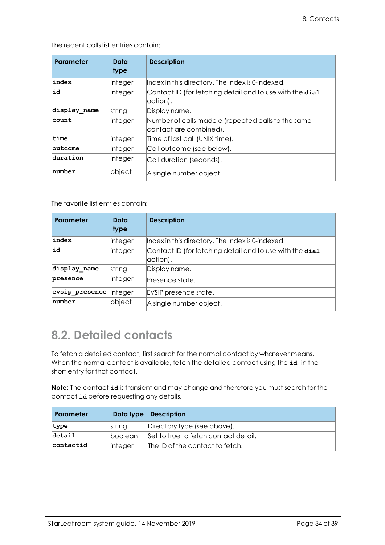The recent calls list entries contain:

| Parameter       | Data<br>type | <b>Description</b>                                                           |
|-----------------|--------------|------------------------------------------------------------------------------|
| index           | linteger     | Index in this directory. The index is 0-indexed.                             |
| ∣id             | integer      | Contact ID (for fetching detail and to use with the dial<br>action).         |
| display name    | string       | Display name.                                                                |
| count           | linteger     | Number of calls made e (repeated calls to the same<br>contact are combined). |
| time            | linteger     | Time of last call (UNIX time).                                               |
| <b>loutcome</b> | integer      | Call outcome (see below).                                                    |
| duration        | integer      | Call duration (seconds).                                                     |
| number          | object       | A single number object.                                                      |

The favorite list entries contain:

| Parameter      | Data<br>type | <b>Description</b>                                                   |
|----------------|--------------|----------------------------------------------------------------------|
| index          | linteger     | Index in this directory. The index is 0-indexed.                     |
| ∣id            | integer      | Contact ID (for fetching detail and to use with the dial<br>action). |
| display name   | string       | Display name.                                                        |
| presence       | linteger     | lPresence state.                                                     |
| evsip presence | linteger     | EVSIP presence state.                                                |
| number         | object       | A single number object.                                              |

### <span id="page-33-0"></span>**8.2. Detailed contacts**

To fetch a detailed contact, first search for the normal contact by whatever means. When the normal contact is available, fetch the detailed contact using the **id** in the short entry for that contact.

**Note:** The contact **id** is transient and may change and therefore you must search for the contact **id** before requesting any details.

| Parameter |                 | Data type   Description              |
|-----------|-----------------|--------------------------------------|
| type      | string          | Directory type (see above).          |
| $detai1$  | <b>Iboolean</b> | Set to true to fetch contact detail. |
| contactid | <i>integer</i>  | The ID of the contact to fetch.      |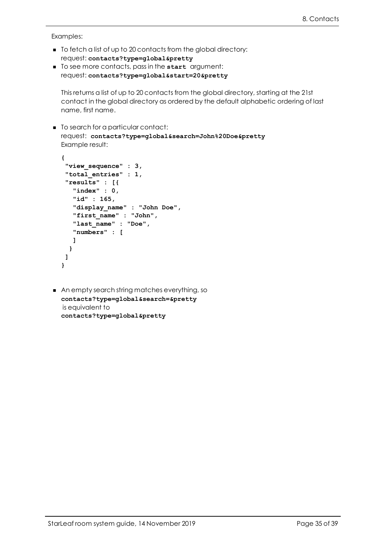Examples:

- $\blacksquare$  To fetch a list of up to 20 contacts from the global directory: request: **contacts?type=global&pretty**
- <sup>n</sup> To see more contacts, pass in the **start** argument: request: **contacts?type=global&start=20&pretty**

This returns a list of up to 20 contacts from the global directory, starting at the 21st contact in the global directory as ordered by the default alphabetic ordering of last name, first name.

■ To search for a particular contact: request: **contacts?type=global&search=John%20Doe&pretty** Example result:

```
{
 "view_sequence" : 3,
 "total_entries" : 1,
 "results" : [{
   "index" : 0,
   "id" : 165,
   "display_name" : "John Doe",
   "first_name" : "John",
   "last_name" : "Doe",
   "numbers" : [
  ]
 }
]
}
```
■ An empty search string matches everything, so **contacts?type=global&search=&pretty** is equivalent to **contacts?type=global&pretty**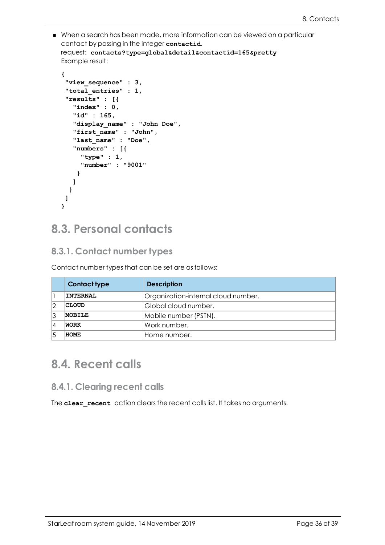<sup>n</sup> When a search has been made, more information can be viewed on a particular contact by passing in the integer **contactid**. request: **contacts?type=global&detail&contactid=165&pretty** Example result:

```
{
 "view_sequence" : 3,
 "total_entries" : 1,
 "results" : [{
   "index" : 0,
   "id" : 165,
   "display_name" : "John Doe",
   "first_name" : "John",
   "last_name" : "Doe",
   "numbers" : [{
     "type" : 1,
     "number" : "9001"
   }
  ]
 }
]
}
```
### <span id="page-35-1"></span><span id="page-35-0"></span>**8.3. Personal contacts**

### **8.3.1. Contact number types**

Contact number types that can be set are as follows:

|    | <b>Contact type</b> | <b>Description</b>                  |
|----|---------------------|-------------------------------------|
|    | <b>INTERNAL</b>     | Organization-internal cloud number. |
|    | <b>CLOUD</b>        | Global cloud number.                |
| 13 | <b>MOBILE</b>       | Mobile number (PSTN).               |
| 14 | WORK                | lWork number.                       |
|    | HOME                | Home number.                        |

### <span id="page-35-3"></span><span id="page-35-2"></span>**8.4. Recent calls**

#### **8.4.1. Clearing recent calls**

The **clear recent** action clears the recent calls list. It takes no arguments.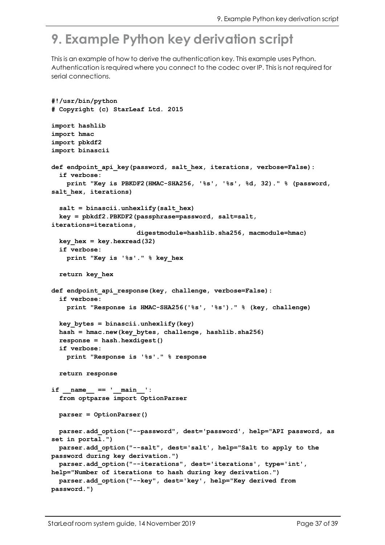# <span id="page-36-0"></span>**9. Example Python key derivation script**

This is an example of how to derive the authentication key. This example uses Python. Authentication is required where you connect to the codec over IP. This is not required for serial connections.

```
#!/usr/bin/python
# Copyright (c) StarLeaf Ltd. 2015
import hashlib
import hmac
import pbkdf2
import binascii
def endpoint_api_key(password, salt_hex, iterations, verbose=False):
  if verbose:
   print "Key is PBKDF2(HMAC-SHA256, '%s', '%s', %d, 32)." % (password,
salt_hex, iterations)
  salt = binascii.unhexlify(salt_hex)
  key = pbkdf2.PBKDF2(passphrase=password, salt=salt,
iterations=iterations,
                      digestmodule=hashlib.sha256, macmodule=hmac)
  key hex = key. hexread(32)
  if verbose:
    print "Key is '%s'." % key_hex
  return key_hex
def endpoint_api_response(key, challenge, verbose=False):
  if verbose:
    print "Response is HMAC-SHA256('%s', '%s')." % (key, challenge)
  key_bytes = binascii.unhexlify(key)
  hash = hmac.new(key_bytes, challenge, hashlib.sha256)
  response = hash.hexdigest()
  if verbose:
   print "Response is '%s'." % response
  return response
if __name__ == '__main__':
  from optparse import OptionParser
  parser = OptionParser()
  parser.add_option("--password", dest='password', help="API password, as
set in portal.")
  parser.add_option("--salt", dest='salt', help="Salt to apply to the
password during key derivation.")
  parser.add_option("--iterations", dest='iterations', type='int',
help="Number of iterations to hash during key derivation.")
  parser.add_option("--key", dest='key', help="Key derived from
password.")
```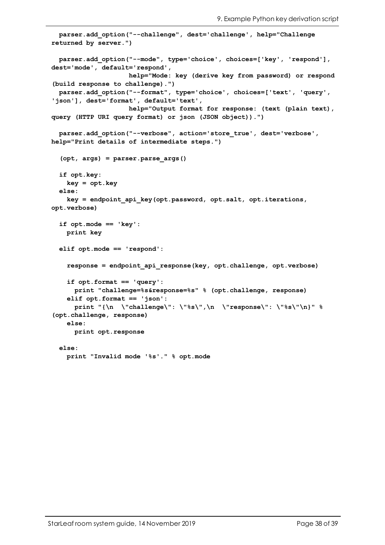```
parser.add_option("--challenge", dest='challenge', help="Challenge
returned by server.")
  parser.add_option("--mode", type='choice', choices=['key', 'respond'],
dest='mode', default='respond',
                    help="Mode: key (derive key from password) or respond
(build response to challenge).")
 parser.add_option("--format", type='choice', choices=['text', 'query',
'json'], dest='format', default='text',
                    help="Output format for response: (text (plain text),
query (HTTP URI query format) or json (JSON object)).")
  parser.add_option("--verbose", action='store_true', dest='verbose',
help="Print details of intermediate steps.")
  (opt, args) = parser.parse_args()
  if opt.key:
   key = opt.key
  else:
    key = endpoint_api_key(opt.password, opt.salt, opt.iterations,
opt.verbose)
  if opt.mode == 'key':
   print key
  elif opt.mode == 'respond':
    response = endpoint_api_response(key, opt.challenge, opt.verbose)
    if opt.format == 'query':
      print "challenge=%s&response=%s" % (opt.challenge, response)
    elif opt.format == 'json':
      print "{\n \"challenge\": \"%s\",\n \"response\": \"%s\"\n}" %
(opt.challenge, response)
    else:
      print opt.response
  else:
    print "Invalid mode '%s'." % opt.mode
```